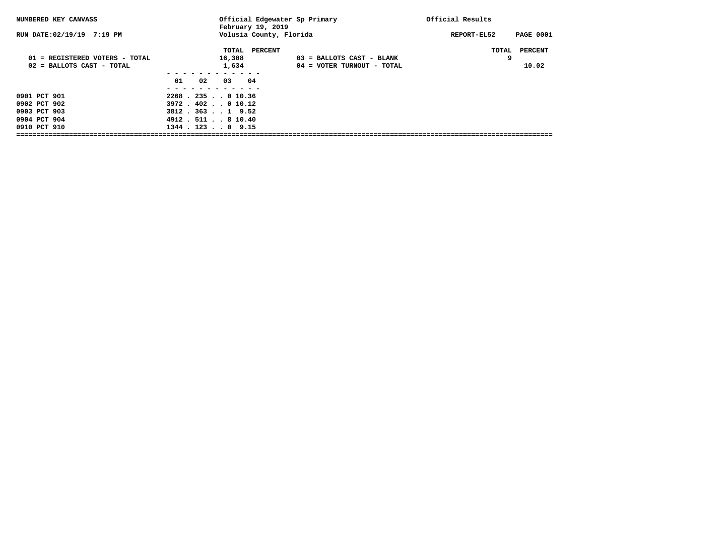| NUMBERED KEY CANVASS           | Official Edgewater Sp Primary<br>February 19, 2019 |                             | Official Results                |
|--------------------------------|----------------------------------------------------|-----------------------------|---------------------------------|
| RUN DATE: 02/19/19 7:19 PM     | Volusia County, Florida                            |                             | <b>PAGE 0001</b><br>REPORT-EL52 |
|                                | TOTAL PERCENT                                      |                             | PERCENT<br>TOTAL                |
| 01 = REGISTERED VOTERS - TOTAL | 16,308                                             | $03$ = BALLOTS CAST - BLANK | 9                               |
| 02 = BALLOTS CAST - TOTAL      | 1,634                                              | 04 = VOTER TURNOUT - TOTAL  | 10.02                           |
|                                |                                                    |                             |                                 |
|                                | 01<br>02<br>03<br>04                               |                             |                                 |
|                                |                                                    |                             |                                 |
| 0901 PCT 901                   | $2268$ , $235$ , $0$ 10.36                         |                             |                                 |
| 0902 PCT 902                   | $3972$ $.402$ $.010.12$                            |                             |                                 |
| 0903 PCT 903                   | $3812$ . $363$ 1 9.52                              |                             |                                 |
| 0904 PCT 904                   | 4912. 511. . 8 10.40                               |                             |                                 |
| 0910 PCT 910                   | $1344$ $.123$ $.0$ 9.15                            |                             |                                 |
|                                |                                                    |                             |                                 |